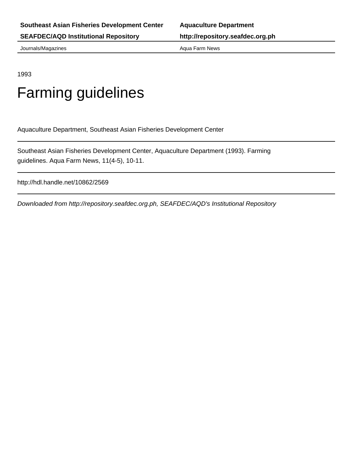**SEAFDEC/AQD Institutional Repository http://repository.seafdec.org.ph**

Journals/Magazines **Aqua Farm News** Aqua Farm News

1993

### Farming guidelines

Aquaculture Department, Southeast Asian Fisheries Development Center

Southeast Asian Fisheries Development Center, Aquaculture Department (1993). Farming guidelines. Aqua Farm News, 11(4-5), 10-11.

http://hdl.handle.net/10862/2569

Downloaded from http://repository.seafdec.org.ph, SEAFDEC/AQD's Institutional Repository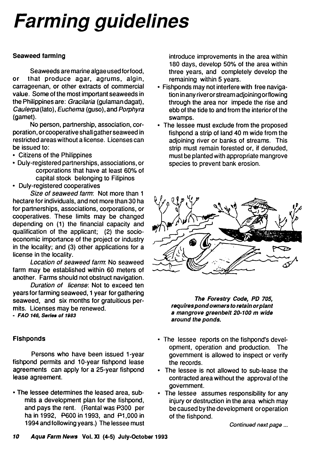# *Farming guidelines*

#### **Seaweed farming**

Seaweeds are marine algae used for food, or that produce agar, agrums, algin, carrageenan, or other extracts of commercial value. Some of the most important seaweeds in the Philippines are: *Gracilaria* (gulaman dagat), *Caulerpa* (lato), *Euchema* (guso), and *Porphyra* (gamet).

No person, partnership, association, corporation, or cooperative shall gather seaweed in restricted areas without a license. Licenses can be issued to:

- Citizens of the Philippines
- Duly-registered partnerships, associations, or corporations that have at least 60% of capital stock belonging to Filipinos
- Duly-registered cooperatives

*Size of seaweed farm:* Not more than 1 hectare for individuals, and not more than 30 ha for partnerships, associations, corporations, or cooperatives. These limits may be changed depending on (1) the financial capacity and qualification of the applicant; (2) the socioeconomic importance of the project or industry in the locality; and (3) other applications for a license in the locality.

*Location of seaweed farm.* No seaweed farm may be established within 60 meters of another. Farms should not obstruct navigation.

*Duration of license*: Not to exceed ten years for farming seaweed, 1 year forgathering seaweed, and six months for gratuitious permits. Licenses may be renewed.

*- FAO 146, Series of 1983*

#### **Fishponds**

Persons who have been issued 1-year fishpond permits and 10-year fishpond lease agreements can apply for a 25-year fishpond lease agreement.

• The lessee determines the leased area, submits a development plan for the fishpond, and pays the rent. (Rental was P300 per ha in 1992, P600 in 1993, and P1,000 in 1994 and following years.) The lessee must introduce improvements in the area within 180 days, develop 50% of the area within three years, and completely develop the remaining within 5 years.

- Fishponds may not interfere with free navigation in any river or stream adjoining or flowing through the area nor impede the rise and ebb of the tide to and from the interior of the swamps.
- The lessee must exclude from the proposed fishpond a strip of land 40 m wide from the adjoining river or banks of streams. This strip must remain forested or, if denuded, must be planted with appropriate mangrove species to prevent bank erosion.



*The Forestry Code, PD 705, requires pond owners to retain or plant a mangrove green beIt 20-100 m wide around the ponds.*

- The lessee reports on the fishpond's development, operation and production. The government is allowed to inspect or verify the records.
- The lessee is not allowed to sub-lease the contracted area without the approval of the government.
- The lessee assumes responsibility for any injury or destruction in the area which may be caused by the development or operation of the fishpond.

*Continued next page ...*